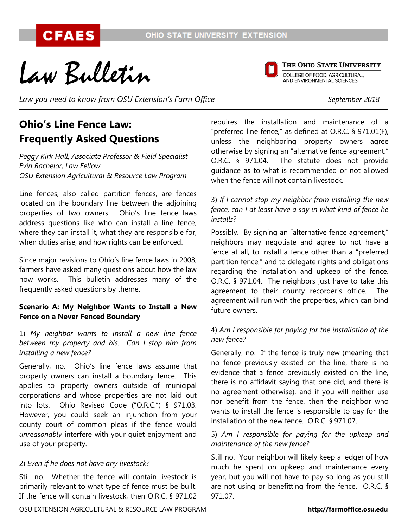Law Bulletin

THE OHIO STATE UNIVERSITY **COLLEGE OF FOOD, AGRICULTURAL,<br>AND ENVIRONMENTAL SCIENCES** 

*Law you need to know from OSU Extension's Farm Office September 2018*

# **Ohio's Line Fence Law: Frequently Asked Questions**

*Peggy Kirk Hall, Associate Professor & Field Specialist Evin Bachelor, Law Fellow OSU Extension Agricultural & Resource Law Program*

Line fences, also called partition fences, are fences located on the boundary line between the adjoining properties of two owners. Ohio's line fence laws address questions like who can install a line fence, where they can install it, what they are responsible for, when duties arise, and how rights can be enforced.

Since major revisions to Ohio's line fence laws in 2008, farmers have asked many questions about how the law now works. This bulletin addresses many of the frequently asked questions by theme.

#### **Scenario A: My Neighbor Wants to Install a New Fence on a Never Fenced Boundary**

1) *My neighbor wants to install a new line fence between my property and his. Can I stop him from installing a new fence?*

Generally, no. Ohio's line fence laws assume that property owners can install a boundary fence. This applies to property owners outside of municipal corporations and whose properties are not laid out into lots. Ohio Revised Code ("O.R.C.") § 971.03. However, you could seek an injunction from your county court of common pleas if the fence would *unreasonably* interfere with your quiet enjoyment and use of your property.

#### 2) *Even if he does not have any livestock?*

Still no. Whether the fence will contain livestock is primarily relevant to what type of fence must be built. If the fence will contain livestock, then O.R.C. § 971.02

requires the installation and maintenance of a "preferred line fence," as defined at O.R.C. § 971.01(F), unless the neighboring property owners agree otherwise by signing an "alternative fence agreement." O.R.C. § 971.04. The statute does not provide guidance as to what is recommended or not allowed when the fence will not contain livestock.

3) *If I cannot stop my neighbor from installing the new fence, can I at least have a say in what kind of fence he installs?*

Possibly. By signing an "alternative fence agreement," neighbors may negotiate and agree to not have a fence at all, to install a fence other than a "preferred partition fence," and to delegate rights and obligations regarding the installation and upkeep of the fence. O.R.C. § 971.04. The neighbors just have to take this agreement to their county recorder's office. The agreement will run with the properties, which can bind future owners.

#### 4) *Am I responsible for paying for the installation of the new fence?*

Generally, no. If the fence is truly new (meaning that no fence previously existed on the line, there is no evidence that a fence previously existed on the line, there is no affidavit saying that one did, and there is no agreement otherwise), and if you will neither use nor benefit from the fence, then the neighbor who wants to install the fence is responsible to pay for the installation of the new fence. O.R.C. § 971.07.

#### 5) *Am I responsible for paying for the upkeep and maintenance of the new fence?*

Still no. Your neighbor will likely keep a ledger of how much he spent on upkeep and maintenance every year, but you will not have to pay so long as you still are not using or benefitting from the fence. O.R.C. § 971.07.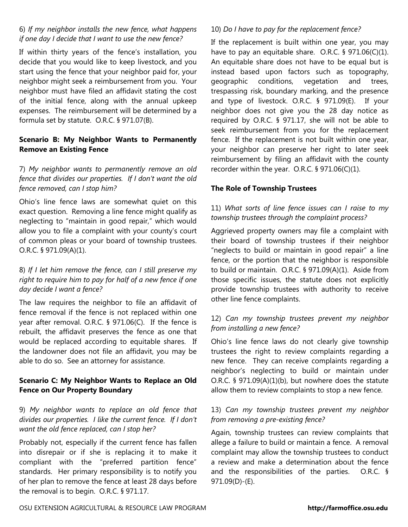#### 6) *If my neighbor installs the new fence, what happens if one day I decide that I want to use the new fence?*

If within thirty years of the fence's installation, you decide that you would like to keep livestock, and you start using the fence that your neighbor paid for, your neighbor might seek a reimbursement from you. Your neighbor must have filed an affidavit stating the cost of the initial fence, along with the annual upkeep expenses. The reimbursement will be determined by a formula set by statute. O.R.C. § 971.07(B).

# **Scenario B: My Neighbor Wants to Permanently Remove an Existing Fence**

### 7) *My neighbor wants to permanently remove an old fence that divides our properties. If I don't want the old fence removed, can I stop him?*

Ohio's line fence laws are somewhat quiet on this exact question. Removing a line fence might qualify as neglecting to "maintain in good repair," which would allow you to file a complaint with your county's court of common pleas or your board of township trustees. O.R.C. § 971.09(A)(1).

#### 8) *If I let him remove the fence, can I still preserve my right to require him to pay for half of a new fence if one day decide I want a fence?*

The law requires the neighbor to file an affidavit of fence removal if the fence is not replaced within one year after removal. O.R.C. § 971.06(C). If the fence is rebuilt, the affidavit preserves the fence as one that would be replaced according to equitable shares. If the landowner does not file an affidavit, you may be able to do so. See an attorney for assistance.

# **Scenario C: My Neighbor Wants to Replace an Old Fence on Our Property Boundary**

9) *My neighbor wants to replace an old fence that divides our properties. I like the current fence. If I don't want the old fence replaced, can I stop her?*

Probably not, especially if the current fence has fallen into disrepair or if she is replacing it to make it compliant with the "preferred partition fence" standards. Her primary responsibility is to notify you of her plan to remove the fence at least 28 days before the removal is to begin. O.R.C. § 971.17.

# 10) *Do I have to pay for the replacement fence?*

If the replacement is built within one year, you may have to pay an equitable share. O.R.C. § 971.06(C)(1). An equitable share does not have to be equal but is instead based upon factors such as topography, geographic conditions, vegetation and trees, trespassing risk, boundary marking, and the presence and type of livestock. O.R.C. § 971.09(E). If your neighbor does not give you the 28 day notice as required by O.R.C. § 971.17, she will not be able to seek reimbursement from you for the replacement fence. If the replacement is not built within one year, your neighbor can preserve her right to later seek reimbursement by filing an affidavit with the county recorder within the year. O.R.C. § 971.06(C)(1).

#### **The Role of Township Trustees**

### 11) *What sorts of line fence issues can I raise to my township trustees through the complaint process?*

Aggrieved property owners may file a complaint with their board of township trustees if their neighbor "neglects to build or maintain in good repair" a line fence, or the portion that the neighbor is responsible to build or maintain. O.R.C. § 971.09(A)(1). Aside from those specific issues, the statute does not explicitly provide township trustees with authority to receive other line fence complaints.

# 12) *Can my township trustees prevent my neighbor from installing a new fence?*

Ohio's line fence laws do not clearly give township trustees the right to review complaints regarding a new fence. They can receive complaints regarding a neighbor's neglecting to build or maintain under O.R.C. § 971.09(A)(1)(b), but nowhere does the statute allow them to review complaints to stop a new fence.

# 13) *Can my township trustees prevent my neighbor from removing a pre-existing fence?*

Again, township trustees can review complaints that allege a failure to build or maintain a fence. A removal complaint may allow the township trustees to conduct a review and make a determination about the fence and the responsibilities of the parties. O.R.C. § 971.09(D)-(E).